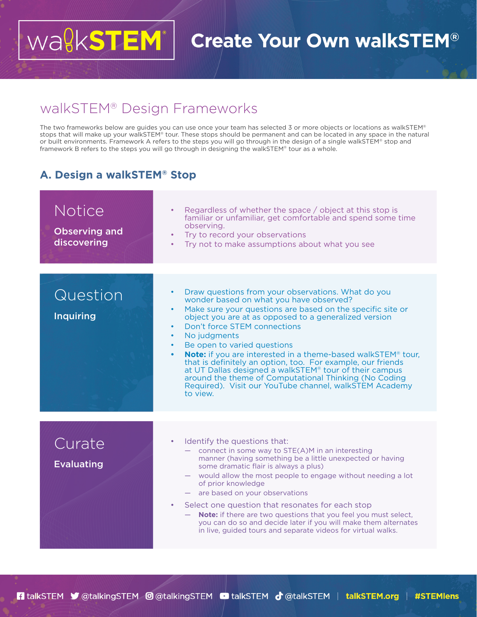## Wa<sup>g</sup>kSTEM **Create Your Own walkSTEM®**

## walkSTEM® Design Frameworks

The two frameworks below are guides you can use once your team has selected 3 or more objects or locations as walkSTEM® stops that will make up your walkSTEM® tour. These stops should be permanent and can be located in any space in the natural or built environments. Framework A refers to the steps you will go through in the design of a single walkSTEM® stop and framework B refers to the steps you will go through in designing the walkSTEM® tour as a whole.

## **A. Design a walkSTEM® Stop**

| Notice<br><b>Observing and</b><br>discovering | Regardless of whether the space / object at this stop is<br>familiar or unfamiliar, get comfortable and spend some time<br>observing.<br>Try to record your observations<br>٠<br>Try not to make assumptions about what you see<br>٠                                                                                                                                                                                                                                                                                                                                                                                                                                                         |
|-----------------------------------------------|----------------------------------------------------------------------------------------------------------------------------------------------------------------------------------------------------------------------------------------------------------------------------------------------------------------------------------------------------------------------------------------------------------------------------------------------------------------------------------------------------------------------------------------------------------------------------------------------------------------------------------------------------------------------------------------------|
|                                               |                                                                                                                                                                                                                                                                                                                                                                                                                                                                                                                                                                                                                                                                                              |
| Question<br><b>Inquiring</b>                  | Draw questions from your observations. What do you<br>$\bullet$<br>wonder based on what you have observed?<br>Make sure your questions are based on the specific site or<br>٠<br>object you are at as opposed to a generalized version<br>Don't force STEM connections<br>٠<br>No judgments<br>٠<br>Be open to varied questions<br>٠<br><b>Note:</b> if you are interested in a theme-based walkSTEM® tour,<br>$\bullet$<br>that is definitely an option, too. For example, our friends<br>at UT Dallas designed a walkSTEM <sup>®</sup> tour of their campus<br>around the theme of Computational Thinking (No Coding<br>Required). Visit our YouTube channel, walkSTEM Academy<br>to view. |
|                                               |                                                                                                                                                                                                                                                                                                                                                                                                                                                                                                                                                                                                                                                                                              |
| Curate<br><b>Evaluating</b>                   | Identify the questions that:<br>- connect in some way to STE(A)M in an interesting<br>manner (having something be a little unexpected or having<br>some dramatic flair is always a plus)<br>would allow the most people to engage without needing a lot<br>of prior knowledge<br>- are based on your observations<br>Select one question that resonates for each stop<br>$\bullet$<br>- Note: if there are two questions that you feel you must select,<br>you can do so and decide later if you will make them alternates<br>in live, guided tours and separate videos for virtual walks.                                                                                                   |